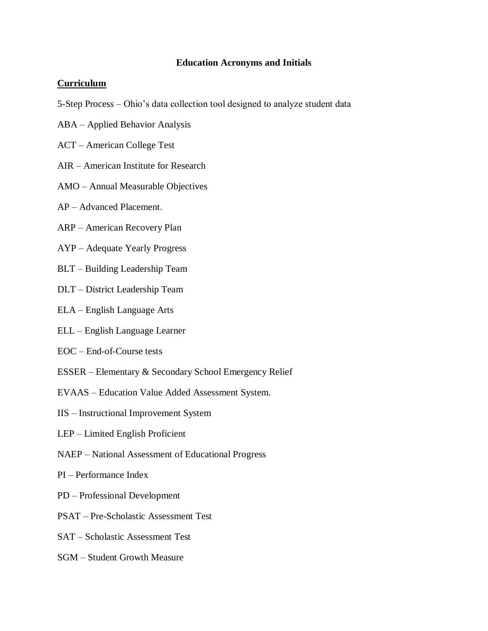## **Education Acronyms and Initials**

## **Curriculum**

- 5-Step Process Ohio's data collection tool designed to analyze student data
- ABA Applied Behavior Analysis
- ACT American College Test
- AIR American Institute for Research
- AMO Annual Measurable Objectives
- AP Advanced Placement.
- ARP American Recovery Plan
- AYP Adequate Yearly Progress
- BLT Building Leadership Team
- DLT District Leadership Team
- ELA English Language Arts
- ELL English Language Learner
- EOC End-of-Course tests
- ESSER Elementary & Secondary School Emergency Relief
- EVAAS Education Value Added Assessment System.
- IIS Instructional Improvement System
- LEP Limited English Proficient
- NAEP National Assessment of Educational Progress
- PI Performance Index
- PD Professional Development
- PSAT Pre-Scholastic Assessment Test
- SAT Scholastic Assessment Test
- SGM Student Growth Measure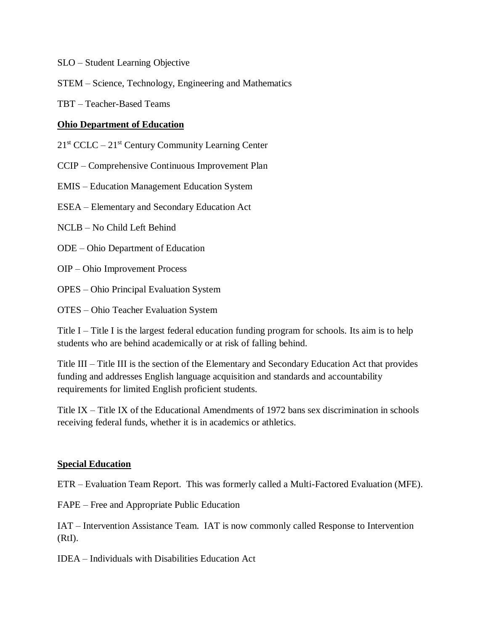- SLO Student Learning Objective
- STEM Science, Technology, Engineering and Mathematics
- TBT Teacher-Based Teams

## **Ohio Department of Education**

 $21<sup>st</sup> CCLC - 21<sup>st</sup> Century Community Learning Center$ 

CCIP – Comprehensive Continuous Improvement Plan

EMIS – Education Management Education System

ESEA – Elementary and Secondary Education Act

NCLB – No Child Left Behind

ODE – Ohio Department of Education

OIP – Ohio Improvement Process

OPES – Ohio Principal Evaluation System

OTES – Ohio Teacher Evaluation System

Title I – Title I is the largest federal education funding program for schools. Its aim is to help students who are behind academically or at risk of falling behind.

Title III – Title III is the section of the Elementary and Secondary Education Act that provides funding and addresses English language acquisition and standards and accountability requirements for limited English proficient students.

Title IX – Title IX of the Educational Amendments of 1972 bans sex discrimination in schools receiving federal funds, whether it is in academics or athletics.

## **Special Education**

ETR – Evaluation Team Report. This was formerly called a Multi-Factored Evaluation (MFE).

FAPE – Free and Appropriate Public Education

IAT – Intervention Assistance Team. IAT is now commonly called Response to Intervention (RtI).

IDEA – Individuals with Disabilities Education Act